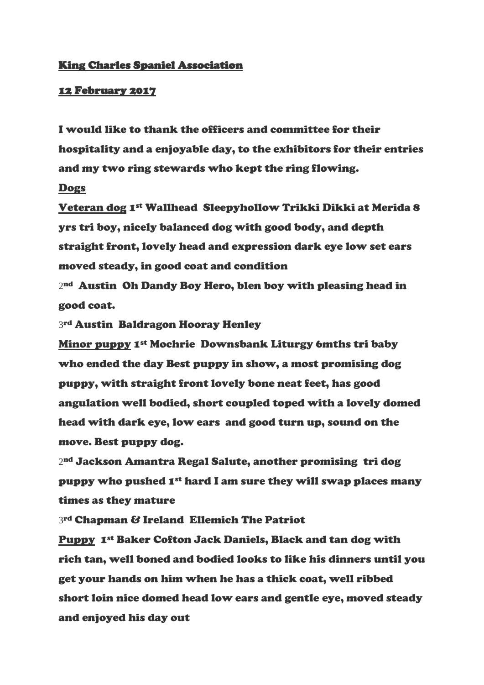## King Charles Spaniel Association

## 12 February 2017

I would like to thank the officers and committee for their hospitality and a enjoyable day, to the exhibitors for their entries and my two ring stewards who kept the ring flowing.

## Dogs

Veteran dog 1st Wallhead Sleepyhollow Trikki Dikki at Merida 8 yrs tri boy, nicely balanced dog with good body, and depth straight front, lovely head and expression dark eye low set ears moved steady, in good coat and condition

2 nd Austin Oh Dandy Boy Hero, blen boy with pleasing head in good coat.

3rd Austin Baldragon Hooray Henley

Minor puppy 1st Mochrie Downsbank Liturgy 6mths tri baby who ended the day Best puppy in show, a most promising dog puppy, with straight front lovely bone neat feet, has good angulation well bodied, short coupled toped with a lovely domed head with dark eye, low ears and good turn up, sound on the move. Best puppy dog.

2 nd Jackson Amantra Regal Salute, another promising tri dog puppy who pushed 1st hard I am sure they will swap places many times as they mature

3 rd Chapman & Ireland Ellemich The Patriot

Puppy 1st Baker Cofton Jack Daniels, Black and tan dog with rich tan, well boned and bodied looks to like his dinners until you get your hands on him when he has a thick coat, well ribbed short loin nice domed head low ears and gentle eye, moved steady and enjoyed his day out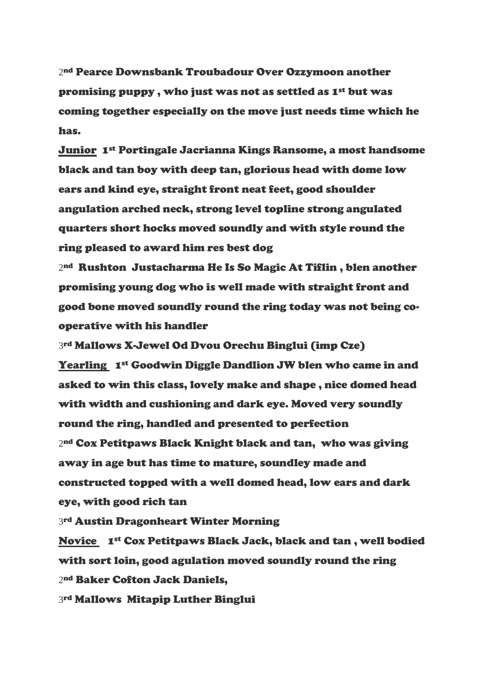2 nd Pearce Downsbank Troubadour Over Ozzymoon another promising puppy, who just was not as settled as 1<sup>st</sup> but was coming together especially on the move just needs time which he has.

Junior 1st Portingale Jacrianna Kings Ransome, a most handsome black and tan boy with deep tan, glorious head with dome low ears and kind eye, straight front neat feet, good shoulder angulation arched neck, strong level topline strong angulated quarters short hocks moved soundly and with style round the ring pleased to award him res best dog

2 nd Rushton Justacharma He Is So Magic At Tiflin , blen another promising young dog who is well made with straight front and good bone moved soundly round the ring today was not being cooperative with his handler

3 rd Mallows X-Jewel Od Dvou Orechu Binglui (imp Cze) Yearling 1st Goodwin Diggle Dandlion JW blen who came in and asked to win this class, lovely make and shape , nice domed head with width and cushioning and dark eye. Moved very soundly round the ring, handled and presented to perfection 2 nd Cox Petitpaws Black Knight black and tan, who was giving away in age but has time to mature, soundley made and constructed topped with a well domed head, low ears and dark eye, with good rich tan

3rd Austin Dragonheart Winter Morning

Novice 1st Cox Petitpaws Black Jack, black and tan , well bodied with sort loin, good agulation moved soundly round the ring 2 nd Baker Cofton Jack Daniels,

3rd Mallows Mitapip Luther Binglui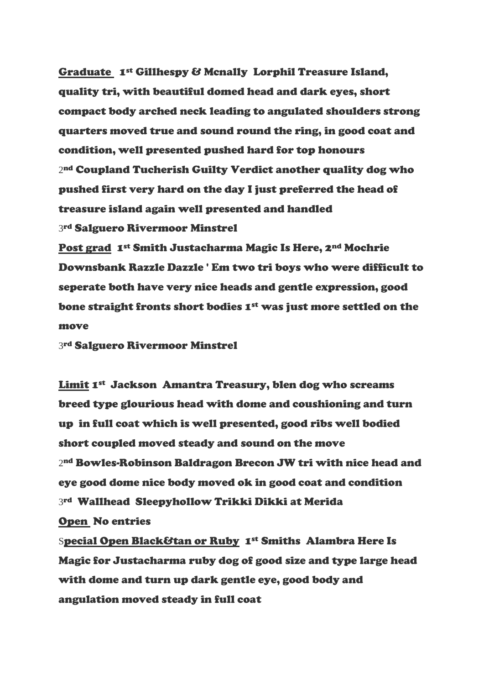Graduate 1st Gillhespy & Mcnally Lorphil Treasure Island, quality tri, with beautiful domed head and dark eyes, short compact body arched neck leading to angulated shoulders strong quarters moved true and sound round the ring, in good coat and condition, well presented pushed hard for top honours 2 nd Coupland Tucherish Guilty Verdict another quality dog who pushed first very hard on the day I just preferred the head of treasure island again well presented and handled 3 rd Salguero Rivermoor Minstrel

Post grad 1st Smith Justacharma Magic Is Here, 2nd Mochrie Downsbank Razzle Dazzle ' Em two tri boys who were difficult to seperate both have very nice heads and gentle expression, good bone straight fronts short bodies 1<sup>st</sup> was just more settled on the move

3 rd Salguero Rivermoor Minstrel

Limit 1st Jackson Amantra Treasury, blen dog who screams breed type glourious head with dome and coushioning and turn up in full coat which is well presented, good ribs well bodied short coupled moved steady and sound on the move 2 nd Bowles-Robinson Baldragon Brecon JW tri with nice head and eye good dome nice body moved ok in good coat and condition 3rd Wallhead Sleepyhollow Trikki Dikki at Merida Open No entries

Special Open Black&tan or Ruby 1st Smiths Alambra Here Is Magic for Justacharma ruby dog of good size and type large head with dome and turn up dark gentle eye, good body and angulation moved steady in full coat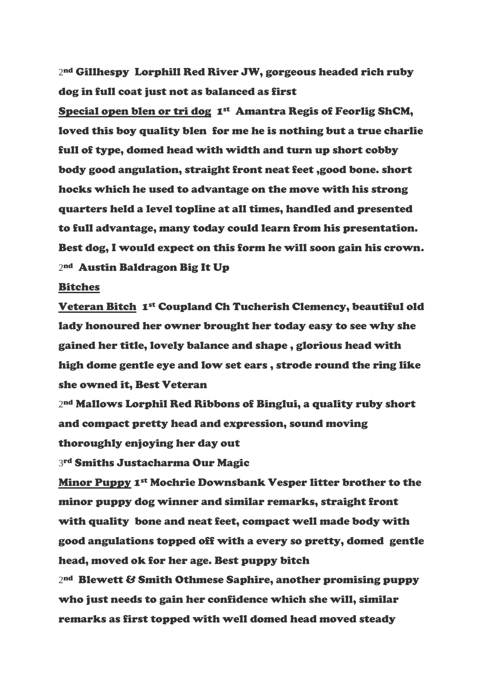2 nd Gillhespy Lorphill Red River JW, gorgeous headed rich ruby dog in full coat just not as balanced as first

Special open blen or tri dog 1st Amantra Regis of Feorlig ShCM, loved this boy quality blen for me he is nothing but a true charlie full of type, domed head with width and turn up short cobby body good angulation, straight front neat feet ,good bone. short hocks which he used to advantage on the move with his strong quarters held a level topline at all times, handled and presented to full advantage, many today could learn from his presentation. Best dog, I would expect on this form he will soon gain his crown. 2 nd Austin Baldragon Big It Up

## Bitches

Veteran Bitch 1st Coupland Ch Tucherish Clemency, beautiful old lady honoured her owner brought her today easy to see why she gained her title, lovely balance and shape , glorious head with high dome gentle eye and low set ears , strode round the ring like she owned it, Best Veteran

2 nd Mallows Lorphil Red Ribbons of Binglui, a quality ruby short and compact pretty head and expression, sound moving thoroughly enjoying her day out

3 rd Smiths Justacharma Our Magic

Minor Puppy 1st Mochrie Downsbank Vesper litter brother to the minor puppy dog winner and similar remarks, straight front with quality bone and neat feet, compact well made body with good angulations topped off with a every so pretty, domed gentle head, moved ok for her age. Best puppy bitch 2 nd Blewett & Smith Othmese Saphire, another promising puppy who just needs to gain her confidence which she will, similar remarks as first topped with well domed head moved steady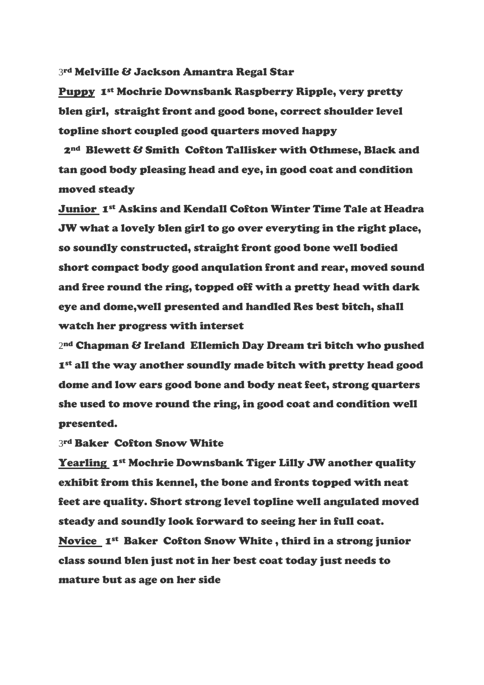3 rd Melville & Jackson Amantra Regal Star

Puppy 1st Mochrie Downsbank Raspberry Ripple, very pretty blen girl, straight front and good bone, correct shoulder level topline short coupled good quarters moved happy

2nd Blewett & Smith Cofton Tallisker with Othmese, Black and tan good body pleasing head and eye, in good coat and condition moved steady

Junior 1st Askins and Kendall Cofton Winter Time Tale at Headra JW what a lovely blen girl to go over everyting in the right place, so soundly constructed, straight front good bone well bodied short compact body good anqulation front and rear, moved sound and free round the ring, topped off with a pretty head with dark eye and dome,well presented and handled Res best bitch, shall watch her progress with interset

2 nd Chapman & Ireland Ellemich Day Dream tri bitch who pushed 1st all the way another soundly made bitch with pretty head good dome and low ears good bone and body neat feet, strong quarters she used to move round the ring, in good coat and condition well presented.

3rd Baker Cofton Snow White

Yearling 1st Mochrie Downsbank Tiger Lilly JW another quality exhibit from this kennel, the bone and fronts topped with neat feet are quality. Short strong level topline well angulated moved steady and soundly look forward to seeing her in full coat. Novice 1st Baker Cofton Snow White , third in a strong junior class sound blen just not in her best coat today just needs to mature but as age on her side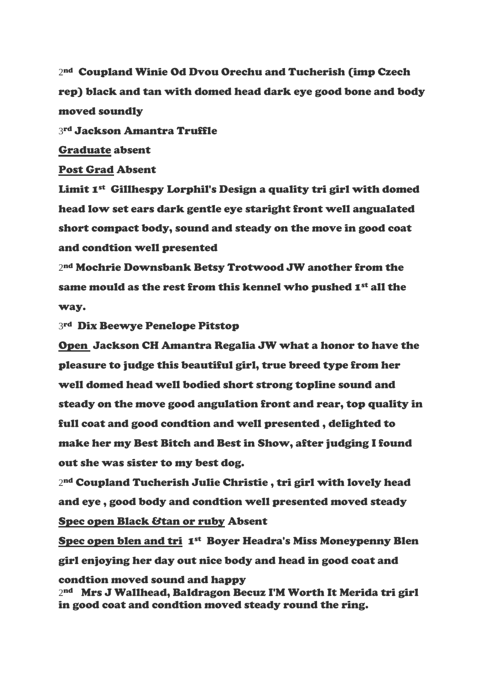2 nd Coupland Winie Od Dvou Orechu and Tucherish (imp Czech rep) black and tan with domed head dark eye good bone and body moved soundly

3rd Jackson Amantra Truffle

Graduate absent

Post Grad Absent

Limit 1st Gillhespy Lorphil's Design a quality tri girl with domed head low set ears dark gentle eye staright front well angualated short compact body, sound and steady on the move in good coat and condtion well presented

2 nd Mochrie Downsbank Betsy Trotwood JW another from the same mould as the rest from this kennel who pushed  $I<sup>st</sup>$  all the way.

3 rd Dix Beewye Penelope Pitstop

Open Jackson CH Amantra Regalia JW what a honor to have the pleasure to judge this beautiful girl, true breed type from her well domed head well bodied short strong topline sound and steady on the move good angulation front and rear, top quality in full coat and good condtion and well presented , delighted to make her my Best Bitch and Best in Show, after judging I found out she was sister to my best dog.

2 nd Coupland Tucherish Julie Christie , tri girl with lovely head and eye , good body and condtion well presented moved steady Spec open Black &tan or ruby Absent

Spec open blen and tri 1<sup>st</sup> Boyer Headra's Miss Moneypenny Blen girl enjoying her day out nice body and head in good coat and

condtion moved sound and happy 2 nd Mrs J Wallhead, Baldragon Becuz I'M Worth It Merida tri girl in good coat and condtion moved steady round the ring.